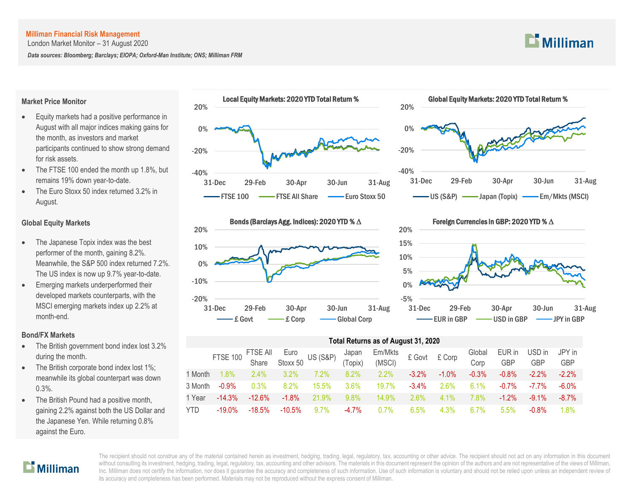London Market Monitor – 31 August 2020

*Data sources: Bloomberg; Barclays; EIOPA; Oxford-Man Institute; ONS; Milliman FRM*

## **Market Price Monitor**

- Equity markets had a positive performance in August with all major indices making gains for the month, as investors and market participants continued to show strong demand for risk assets.
- The FTSE 100 ended the month up 1.8%, but remains 19% down year-to-date.
- The Euro Stoxx 50 index returned 3.2% in August.

# **Global Equity Markets**

- The Japanese Topix index was the best performer of the month, gaining 8.2%. Meanwhile, the S&P 500 index returned 7.2%. The US index is now up 9.7% year-to-date.
- Emerging markets underperformed their developed markets counterparts, with the MSCI emerging markets index up 2.2% at month-end.

## **Bond/FX Markets**

- The British government bond index lost 3.2% during the month.
- The British corporate bond index lost 1%; meanwhile its global counterpart was down 0.3%.
- The British Pound had a positive month, gaining 2.2% against both the US Dollar and the Japanese Yen. While returning 0.8% against the Euro.







#### Foreign Currencies in GBP: 2020 YTD % ∆



## **Total Returns as of August 31, 2020**

|            |           |           |          |         |          | FTSE 100 FTSE All Euro US (S&P) Japan Em/Mkts<br>Share Stoxx 50 US (S&P) (Topix) (MSCI) £ Govt £ Corp |          |          | Global<br>Corp | EUR in<br><b>GBP</b> | USD in<br><b>GBP</b> | JPY in<br><b>GBP</b> |
|------------|-----------|-----------|----------|---------|----------|-------------------------------------------------------------------------------------------------------|----------|----------|----------------|----------------------|----------------------|----------------------|
| 1 Month    | $1.8\%$   | 2.4%      | $3.2\%$  | $7.2\%$ | $8.2\%$  | 2.2%                                                                                                  | $-3.2\%$ | $-1.0\%$ | $-0.3%$        | $-0.8\%$             | $-2.2\%$             | $-2.2\%$             |
| 3 Month    | $-0.9\%$  | 0.3%      | $8.2\%$  | 15.5%   | $3.6\%$  | 19.7%                                                                                                 | $-3.4\%$ | $2.6\%$  | $6.1\%$        | $-0.7\%$             | -7.7%                | $-6.0\%$             |
| 1 Year     | $-14.3%$  | $-12.6%$  | $-1.8\%$ | 21.9%   | $9.8\%$  | $14.9\%$                                                                                              | $2.6\%$  | $41\%$   | 7.8%           | $-1.2\%$             | $-9.1\%$             | $-8.7\%$             |
| <b>YTD</b> | $-19.0\%$ | $-18.5\%$ | -10.5%   | $9.7\%$ | $-4.7\%$ | $0.7\%$                                                                                               | 6.5%     | $4.3\%$  | $6.7\%$        | $5.5\%$              | $-0.8\%$             | $1.8\%$              |



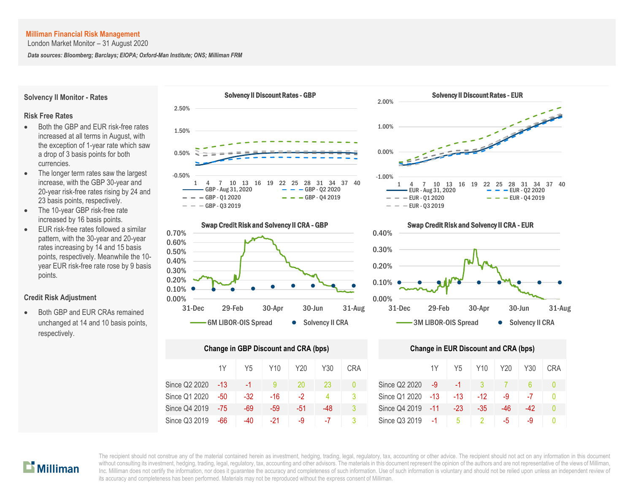London Market Monitor – 31 August 2020

*Data sources: Bloomberg; Barclays; EIOPA; Oxford-Man Institute; ONS; Milliman FRM*

**Solvency II Monitor - Rates**

#### **Risk Free Rates**

- Both the GBP and EUR risk-free rates increased at all terms in August, with the exception of 1-year rate which saw a drop of 3 basis points for both currencies.
- The longer term rates saw the largest increase, with the GBP 30-year and 20-year risk-free rates rising by 24 and 23 basis points, respectively.
- The 10-year GBP risk-free rate increased by 16 basis points.
- EUR risk-free rates followed a similar pattern, with the 30-year and 20-year rates increasing by 14 and 15 basis points, respectively. Meanwhile the 10 year EUR risk-free rate rose by 9 basis points.

#### **Credit Risk Adjustment**

 Both GBP and EUR CRAs remained unchanged at 14 and 10 basis points, respectively.





| <b>Change in GBP Discount and CRA (bps)</b> | <b>Change in EUR Discount and CRA (bps)</b> |       |     |      |     |            |               |       |       |       |     |       |    |
|---------------------------------------------|---------------------------------------------|-------|-----|------|-----|------------|---------------|-------|-------|-------|-----|-------|----|
|                                             | 1Y                                          | Y5    | Y10 | Y20  | Y30 | <b>CRA</b> |               | 1Y    | Y5    | Y10   | Y20 | Y30   | CR |
| Since Q2 2020                               | -13                                         | $-1$  |     | 20   | 23  | 0          | Since Q2 2020 | $-9$  | $-1$  |       |     | 6.    | 0  |
| Since Q1 2020                               | -50                                         | $-32$ | -16 | $-2$ | 4   | 3          | Since Q1 2020 | -13   | -13   | $-12$ | -9  | -7    | Ω  |
| Since Q4 2019                               | -75                                         | $-69$ | -59 | -51  | -48 | 3          | Since Q4 2019 | $-11$ | $-23$ | $-35$ | -46 | $-42$ | Λ  |
| Since Q3 2019                               | -66                                         | -40   | -21 | -9   | -7  |            | Since Q3 2019 | $-1$  | 5     | 2     | -5  | -9    | 0  |





|     | nge in GBP Discount and CRA (bps) |                 |      |     |            |               | <b>Change in EUR Discount and CRA (bps)</b> |       |       |     |     |            |  |  |  |  |
|-----|-----------------------------------|-----------------|------|-----|------------|---------------|---------------------------------------------|-------|-------|-----|-----|------------|--|--|--|--|
| 1Y  | Y <sub>5</sub>                    | Y <sub>10</sub> | Y20  | Y30 | <b>CRA</b> |               | 1Y                                          | Y5    | Y10   | Y20 | Y30 | <b>CRA</b> |  |  |  |  |
| -13 | -1                                |                 | 20   | 23  | $\Omega$   | Since Q2 2020 | -9                                          | $-1$  |       |     |     |            |  |  |  |  |
| -50 | $-32$                             | -16             | $-2$ | 4   |            | Since Q1 2020 | $-13$                                       | -13   | $-12$ | -9  | -7  |            |  |  |  |  |
| -75 | -69                               | -59             | -51  | -48 | 3          | Since Q4 2019 | $-11$                                       | $-23$ | -35   | -46 | -42 |            |  |  |  |  |
| -66 | -40                               | $-21$           | -9   | -7  |            | Since Q3 2019 | $-1$                                        | 5     |       | -5  | -9  |            |  |  |  |  |



The recipient should not construe any of the material contained herein as investment, hedging, trading, legal, regulatory, tax, accounting or other advice. The recipient should not act on any information in this document without consulting its investment, hedging, trading, legal, regulatory, tax, accounting and other advisors. The materials in this document represent the opinion of the authors and are not representative of the views of Mil whilded consulting its investment, heaging, udung, legal, regulatory, tax, accounting and other advisors. The inaterials in this document represent the opinion of the authors and are not representative of the views of will its accuracy and completeness has been performed. Materials may not be reproduced without the express consent of Milliman. m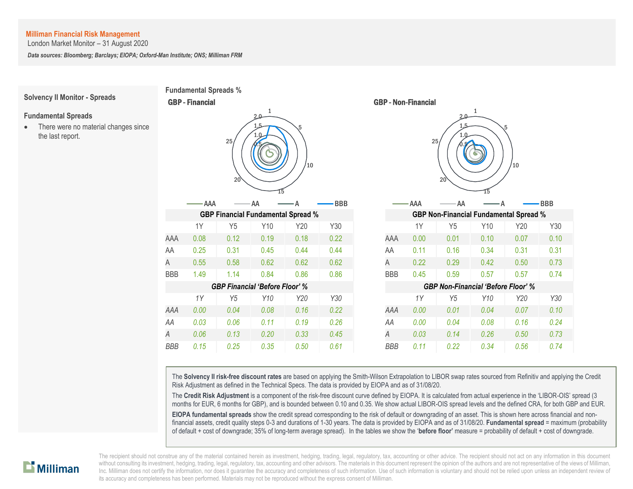London Market Monitor – 31 August 2020

*Data sources: Bloomberg; Barclays; EIOPA; Oxford-Man Institute; ONS; Milliman FRM*

**Fundamental Spreads %**

GBP - Financial

# **Solvency II Monitor - Spreads**

#### **Fundamental Spreads**

• There were no material changes since the last report.

|            |       | 25<br>20                                  | 1<br>2.0<br>1.5<br>$\cdot$ .0 | .5<br>$10^{-1}$ |            | 1<br>$2.0 -$<br>1.5<br>5<br>25<br>10<br>20 |      |                                               |      |      |
|------------|-------|-------------------------------------------|-------------------------------|-----------------|------------|--------------------------------------------|------|-----------------------------------------------|------|------|
|            | · AAA |                                           | AA                            |                 | <b>BBB</b> |                                            | AAA  | AA                                            |      |      |
|            |       | <b>GBP Financial Fundamental Spread %</b> |                               |                 |            |                                            |      | <b>GBP Non-Financial Fundamental Spread %</b> |      |      |
|            | 1Y    | Y <sub>5</sub>                            | Y10                           | Y20             | Y30        |                                            | 1Y   | Y <sub>5</sub>                                | Y10  | Y20  |
| AAA        | 0.08  | 0.12                                      | 0.19                          | 0.18            | 0.22       | AAA                                        | 0.00 | 0.01                                          | 0.10 | 0.07 |
| AA         | 0.25  | 0.31                                      | 0.45                          | 0.44            | 0.44       | AA                                         | 0.11 | 0.16                                          | 0.34 | 0.31 |
| A          | 0.55  | 0.58                                      | 0.62                          | 0.62            | 0.62       | Α                                          | 0.22 | 0.29                                          | 0.42 | 0.50 |
| <b>BBB</b> | 1.49  | 1.14                                      | 0.84                          | 0.86            | 0.86       | <b>BBB</b>                                 | 0.45 | 0.59                                          | 0.57 | 0.57 |
|            |       | <b>GBP Financial 'Before Floor' %</b>     |                               |                 |            |                                            |      | <b>GBP Non-Financial 'Before Floor' %</b>     |      |      |
|            | 1Y    | Y <sub>5</sub>                            | Y10                           | Y20             | Y30        |                                            | 1Y   | Y <sub>5</sub>                                | Y10  | Y20  |
| AAA        | 0.00  | 0.04                                      | 0.08                          | 0.16            | 0.22       | AAA                                        | 0.00 | 0.01                                          | 0.04 | 0.07 |
| AA         | 0.03  | 0.06                                      | 0.11                          | 0.19            | 0.26       | AA                                         | 0.00 | 0.04                                          | 0.08 | 0.16 |
| A          | 0.06  | 0.13                                      | 0.20                          | 0.33            | 0.45       | A                                          | 0.03 | 0.14                                          | 0.26 | 0.50 |
| <b>RRR</b> | 0.15  | 0.25                                      | 0.35                          | 0.50            | 061        | <b>RRR</b>                                 | 0.11 | 0.22                                          | 0.34 | 0.56 |



The **Solvency II risk-free discount rates** are based on applying the Smith-Wilson Extrapolation to LIBOR swap rates sourced from Refinitiv and applying the Credit Risk Adjustment as defined in the Technical Specs. The data is provided by EIOPA and as of 31/08/20.

The **Credit Risk Adjustment** is a component of the risk-free discount curve defined by EIOPA. It is calculated from actual experience in the 'LIBOR-OIS' spread (3 months for EUR, 6 months for GBP), and is bounded between 0.10 and 0.35. We show actual LIBOR-OIS spread levels and the defined CRA, for both GBP and EUR.

**EIOPA fundamental spreads** show the credit spread corresponding to the risk of default or downgrading of an asset. This is shown here across financial and nonfinancial assets, credit quality steps 0-3 and durations of 1-30 years. The data is provided by EIOPA and as of 31/08/20. **Fundamental spread** = maximum (probability of default + cost of downgrade; 35% of long-term average spread). In the tables we show the '**before floor'** measure = probability of default + cost of downgrade.

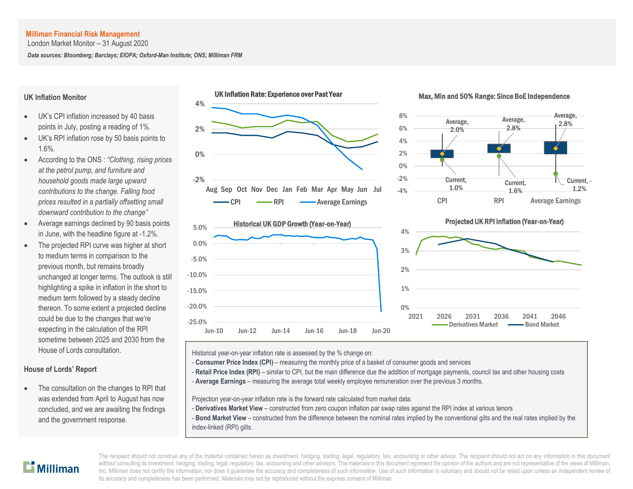London Market Monitor – 31 August 2020

*Data sources: Bloomberg; Barclays; EIOPA; Oxford-Man Institute; ONS; Milliman FRM*

#### **UK Inflation Monitor**

- UK's CPI inflation increased by 40 basis points in July, posting a reading of 1%.
- UK's RPI inflation rose by 50 basis points to 1.6%.
- According to the ONS : *"Clothing, rising prices at the petrol pump, and furniture and household goods made large upward contributions to the change. Falling food prices resulted in a partially offsetting small downward contribution to the change"*
- Average earnings declined by 90 basis points in June, with the headline figure at -1.2%.
- The projected RPI curve was higher at short to medium terms in comparison to the previous month, but remains broadly unchanged at longer terms. The outlook is still highlighting a spike in inflation in the short to medium term followed by a steady decline thereon. To some extent a projected decline could be due to the changes that we're expecting in the calculation of the RPI sometime between 2025 and 2030 from the House of Lords consultation.

# **House of Lords' Report**

 The consultation on the changes to RPI that was extended from April to August has now concluded, and we are awaiting the findings and the government response.













Historical year-on-year inflation rate is assessed by the % change on:

- **Consumer Price Index (CPI)** measuring the monthly price of a basket of consumer goods and services
- Retail Price Index (RPI) similar to CPI, but the main difference due the addition of mortgage payments, council tax and other housing costs
- A **Average Earnings** measuring the average total weekly employee remuneration over the previous 3 months.

Projection year-on-year inflation rate is the forward rate calculated from market data:

- **Derivatives Market View** constructed from zero coupon inflation par swap rates against the RPI index at various tenors
- **Bond Market View** constructed from the difference between the nominal rates implied by the conventional gilts and the real rates implied by the index-linked (RPI) gilts.

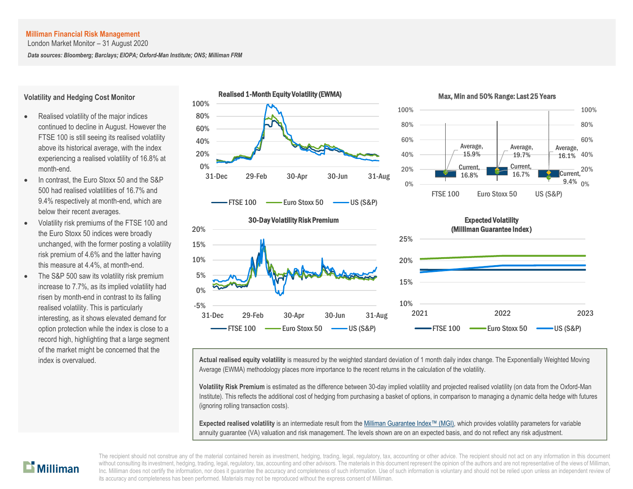London Market Monitor – 31 August 2020

*Data sources: Bloomberg; Barclays; EIOPA; Oxford-Man Institute; ONS; Milliman FRM*

#### **Volatility and Hedging Cost Monitor**

- Realised volatility of the major indices continued to decline in August. However the FTSE 100 is still seeing its realised volatility above its historical average, with the index experiencing a realised volatility of 16.8% at month-end.
- In contrast, the Euro Stoxx 50 and the S&P 500 had realised volatilities of 16.7% and 9.4% respectively at month-end, which are below their recent averages.
- Volatility risk premiums of the FTSE 100 and the Euro Stoxx 50 indices were broadly unchanged, with the former posting a volatility risk premium of 4.6% and the latter having this measure at 4.4%, at month-end.
- The S&P 500 saw its volatility risk premium increase to 7.7%, as its implied volatility had risen by month-end in contrast to its falling realised volatility. This is particularly interesting, as it shows elevated demand for option protection while the index is close to a record high, highlighting that a large segment of the market might be concerned that the









# 2021 2022 2023 Expected Volatility (Milliman Guarantee Index )  $\overline{F}$ FTSE 100  $\longrightarrow$  Euro Stoxx 50  $\longrightarrow$  US (S&P)

index is overvalued. **Actual realised equity volatility** is measured by the weighted standard deviation of 1 month daily index change. The Exponentially Weighted Moving Average (EWMA) methodology places more importance to the recent returns in the calculation of the volatility.

> **Volatility Risk Premium** is estimated as the difference between 30-day implied volatility and projected realised volatility (on data from the Oxford-Man Institute). This reflects the additional cost of hedging from purchasing a basket of options, in comparison to managing a dynamic delta hedge with futures (ignoring rolling transaction costs).

**Expected realised volatility** is an intermediate result from the Milliman [Guarantee Index](http://uk.milliman.com/Solutions/Products/The-Milliman-Guarantee-Index-and-Milliman-Hedge-Cost-Index/)™ (MGI), which provides volatility parameters for variable annuity guarantee (VA) valuation and risk management. The levels shown are on an expected basis, and do not reflect any risk adjustment.